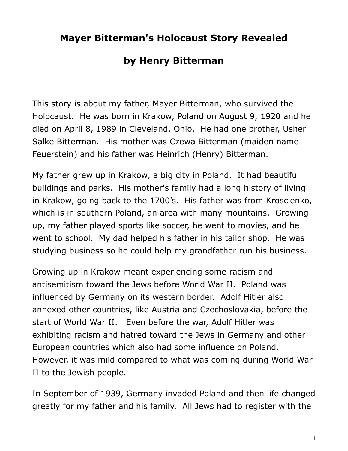## **Mayer Bitterman's Holocaust Story Revealed**

## **by Henry Bitterman**

This story is about my father, Mayer Bitterman, who survived the Holocaust. He was born in Krakow, Poland on August 9, 1920 and he died on April 8, 1989 in Cleveland, Ohio. He had one brother, Usher Salke Bitterman. His mother was Czewa Bitterman (maiden name Feuerstein) and his father was Heinrich (Henry) Bitterman.

My father grew up in Krakow, a big city in Poland. It had beautiful buildings and parks. His mother's family had a long history of living in Krakow, going back to the 1700's. His father was from Kroscienko, which is in southern Poland, an area with many mountains. Growing up, my father played sports like soccer, he went to movies, and he went to school. My dad helped his father in his tailor shop. He was studying business so he could help my grandfather run his business.

Growing up in Krakow meant experiencing some racism and antisemitism toward the Jews before World War II. Poland was influenced by Germany on its western border. Adolf Hitler also annexed other countries, like Austria and Czechoslovakia, before the start of World War II. Even before the war, Adolf Hitler was exhibiting racism and hatred toward the Jews in Germany and other European countries which also had some influence on Poland. However, it was mild compared to what was coming during World War II to the Jewish people.

In September of 1939, Germany invaded Poland and then life changed greatly for my father and his family. All Jews had to register with the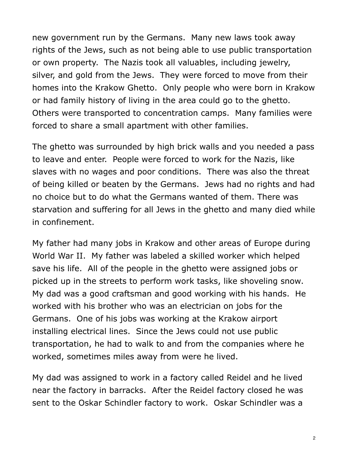new government run by the Germans. Many new laws took away rights of the Jews, such as not being able to use public transportation or own property. The Nazis took all valuables, including jewelry, silver, and gold from the Jews. They were forced to move from their homes into the Krakow Ghetto. Only people who were born in Krakow or had family history of living in the area could go to the ghetto. Others were transported to concentration camps. Many families were forced to share a small apartment with other families.

The ghetto was surrounded by high brick walls and you needed a pass to leave and enter. People were forced to work for the Nazis, like slaves with no wages and poor conditions. There was also the threat of being killed or beaten by the Germans. Jews had no rights and had no choice but to do what the Germans wanted of them. There was starvation and suffering for all Jews in the ghetto and many died while in confinement.

My father had many jobs in Krakow and other areas of Europe during World War II. My father was labeled a skilled worker which helped save his life. All of the people in the ghetto were assigned jobs or picked up in the streets to perform work tasks, like shoveling snow. My dad was a good craftsman and good working with his hands. He worked with his brother who was an electrician on jobs for the Germans. One of his jobs was working at the Krakow airport installing electrical lines. Since the Jews could not use public transportation, he had to walk to and from the companies where he worked, sometimes miles away from were he lived.

My dad was assigned to work in a factory called Reidel and he lived near the factory in barracks. After the Reidel factory closed he was sent to the Oskar Schindler factory to work. Oskar Schindler was a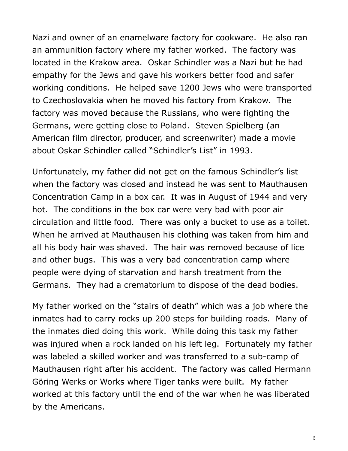Nazi and owner of an enamelware factory for cookware. He also ran an ammunition factory where my father worked. The factory was located in the Krakow area. Oskar Schindler was a Nazi but he had empathy for the Jews and gave his workers better food and safer working conditions. He helped save 1200 Jews who were transported to Czechoslovakia when he moved his factory from Krakow. The factory was moved because the Russians, who were fighting the Germans, were getting close to Poland. Steven Spielberg (an American film director, producer, and screenwriter) made a movie about Oskar Schindler called "Schindler's List" in 1993.

Unfortunately, my father did not get on the famous Schindler's list when the factory was closed and instead he was sent to Mauthausen Concentration Camp in a box car. It was in August of 1944 and very hot. The conditions in the box car were very bad with poor air circulation and little food. There was only a bucket to use as a toilet. When he arrived at Mauthausen his clothing was taken from him and all his body hair was shaved. The hair was removed because of lice and other bugs. This was a very bad concentration camp where people were dying of starvation and harsh treatment from the Germans. They had a crematorium to dispose of the dead bodies.

My father worked on the "stairs of death" which was a job where the inmates had to carry rocks up 200 steps for building roads. Many of the inmates died doing this work. While doing this task my father was injured when a rock landed on his left leg. Fortunately my father was labeled a skilled worker and was transferred to a sub-camp of Mauthausen right after his accident. The factory was called Hermann Göring Werks or Works where Tiger tanks were built. My father worked at this factory until the end of the war when he was liberated by the Americans.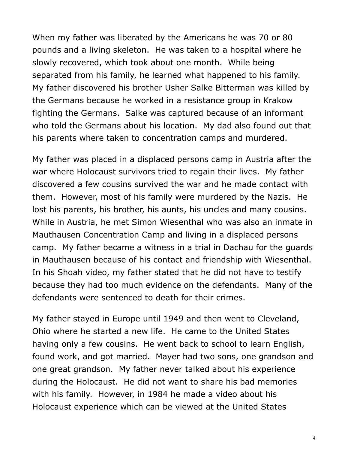When my father was liberated by the Americans he was 70 or 80 pounds and a living skeleton. He was taken to a hospital where he slowly recovered, which took about one month. While being separated from his family, he learned what happened to his family. My father discovered his brother Usher Salke Bitterman was killed by the Germans because he worked in a resistance group in Krakow fighting the Germans. Salke was captured because of an informant who told the Germans about his location. My dad also found out that his parents where taken to concentration camps and murdered.

My father was placed in a displaced persons camp in Austria after the war where Holocaust survivors tried to regain their lives. My father discovered a few cousins survived the war and he made contact with them. However, most of his family were murdered by the Nazis. He lost his parents, his brother, his aunts, his uncles and many cousins. While in Austria, he met Simon Wiesenthal who was also an inmate in Mauthausen Concentration Camp and living in a displaced persons camp. My father became a witness in a trial in Dachau for the guards in Mauthausen because of his contact and friendship with Wiesenthal. In his Shoah video, my father stated that he did not have to testify because they had too much evidence on the defendants. Many of the defendants were sentenced to death for their crimes.

My father stayed in Europe until 1949 and then went to Cleveland, Ohio where he started a new life. He came to the United States having only a few cousins. He went back to school to learn English, found work, and got married. Mayer had two sons, one grandson and one great grandson. My father never talked about his experience during the Holocaust. He did not want to share his bad memories with his family. However, in 1984 he made a video about his Holocaust experience which can be viewed at the United States